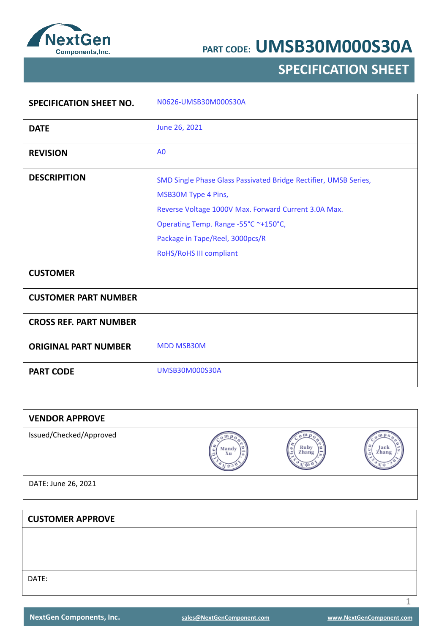

## **SPECIFICATION SHEET**

| <b>SPECIFICATION SHEET NO.</b> | N0626-UMSB30M000S30A                                                                                                                                                                                                                                  |
|--------------------------------|-------------------------------------------------------------------------------------------------------------------------------------------------------------------------------------------------------------------------------------------------------|
| <b>DATE</b>                    | June 26, 2021                                                                                                                                                                                                                                         |
| <b>REVISION</b>                | A <sub>0</sub>                                                                                                                                                                                                                                        |
| <b>DESCRIPITION</b>            | SMD Single Phase Glass Passivated Bridge Rectifier, UMSB Series,<br>MSB30M Type 4 Pins,<br>Reverse Voltage 1000V Max. Forward Current 3.0A Max.<br>Operating Temp. Range -55°C ~+150°C,<br>Package in Tape/Reel, 3000pcs/R<br>RoHS/RoHS III compliant |
| <b>CUSTOMER</b>                |                                                                                                                                                                                                                                                       |
| <b>CUSTOMER PART NUMBER</b>    |                                                                                                                                                                                                                                                       |
| <b>CROSS REF. PART NUMBER</b>  |                                                                                                                                                                                                                                                       |
| <b>ORIGINAL PART NUMBER</b>    | <b>MDD MSB30M</b>                                                                                                                                                                                                                                     |
| <b>PART CODE</b>               | <b>UMSB30M000S30A</b>                                                                                                                                                                                                                                 |

| <b>VENDOR APPROVE</b>   |                  |               |               |
|-------------------------|------------------|---------------|---------------|
| Issued/Checked/Approved | m<br>Mandy<br>Xu | Ruby<br>Zhang | Jack<br>Zhang |
| DATE: June 26, 2021     |                  |               |               |
|                         |                  |               |               |
| <b>CUSTOMER APPROVE</b> |                  |               |               |
|                         |                  |               |               |
|                         |                  |               |               |
|                         |                  |               |               |

DATE:

1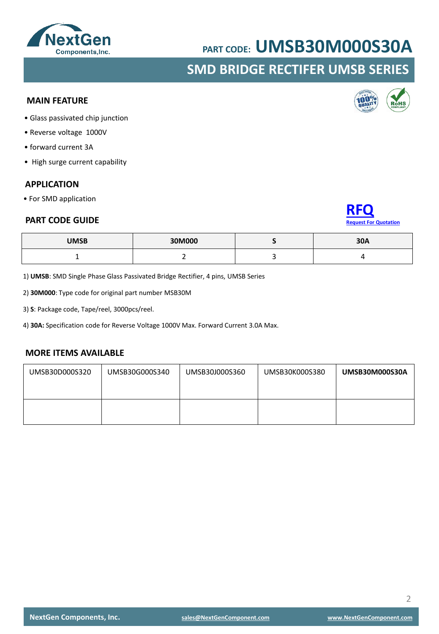## **NextGen** Components, Inc.

## **PART CODE: UMSB30M000S30A**

### **SMD BRIDGE RECTIFER UMSB SERIES**

#### **MAIN FEATURE**

- Glass passivated chip junction
- Reverse voltage 1000V
- forward current 3A
- High surge current capability

#### **APPLICATION**

• For SMD application

#### **PART CODE GUIDE**

| <b>UMSB</b> | 30M000 | 30A |
|-------------|--------|-----|
|             | -      |     |

1) **UMSB**: SMD Single Phase Glass Passivated Bridge Rectifier, 4 pins, UMSB Series

2) **30M000**: Type code for original part number MSB30M

3) **S**: Package code, Tape/reel, 3000pcs/reel.

4) **30A:** Specification code for Reverse Voltage 1000V Max. Forward Current 3.0A Max.

#### **MORE ITEMS AVAILABLE**

| UMSB30D000S320 | UMSB30G000S340 | UMSB30J000S360 | UMSB30K000S380 | UMSB30M000S30A |
|----------------|----------------|----------------|----------------|----------------|
|                |                |                |                |                |



**[RFQ](mailto:sales@NextGenComponent.com?subject=RFQ%20for%20PART%20CODE:%20UMSB30M000S30A)**

**[Request For Quotation](mailto:sales@NextGenComponent.com?subject=RFQ%20for%20PART%20CODE:%20UMSB30M000S30A)**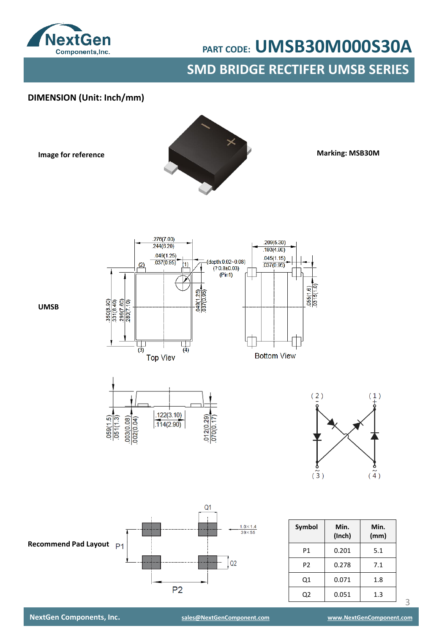

**SMD BRIDGE RECTIFER UMSB SERIES**

#### **DIMENSION (Unit: Inch/mm)**

**Image for reference**



**Marking: MSB30M**

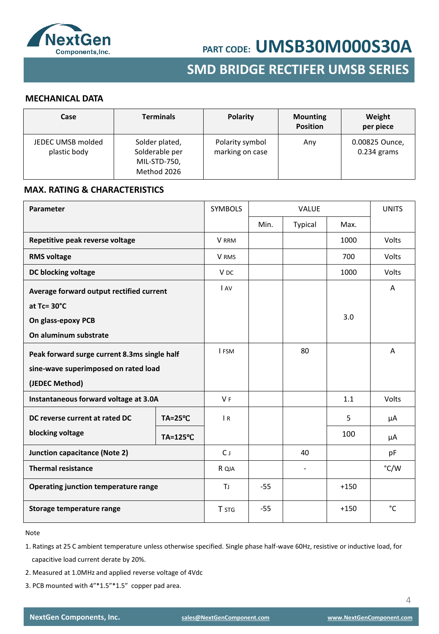

## **SMD BRIDGE RECTIFER UMSB SERIES**

#### **MECHANICAL DATA**

| Case                              | <b>Terminals</b>                                                | Polarity                           | <b>Mounting</b><br><b>Position</b> | Weight<br>per piece             |
|-----------------------------------|-----------------------------------------------------------------|------------------------------------|------------------------------------|---------------------------------|
| JEDEC UMSB molded<br>plastic body | Solder plated,<br>Solderable per<br>MIL-STD-750,<br>Method 2026 | Polarity symbol<br>marking on case | Any                                | 0.00825 Ounce,<br>$0.234$ grams |

#### **MAX. RATING & CHARACTERISTICS**

| Parameter                                    |                     | <b>SYMBOLS</b>  | <b>VALUE</b> |         |        | <b>UNITS</b> |
|----------------------------------------------|---------------------|-----------------|--------------|---------|--------|--------------|
|                                              |                     |                 | Min.         | Typical | Max.   |              |
| Repetitive peak reverse voltage              |                     | V RRM           |              |         | 1000   | Volts        |
| <b>RMS voltage</b>                           |                     | V RMS           |              |         | 700    | Volts        |
| DC blocking voltage                          |                     | V <sub>DC</sub> |              |         | 1000   | Volts        |
| Average forward output rectified current     |                     | <b>LAV</b>      |              |         |        | A            |
| at Tc= 30°C                                  |                     |                 |              |         |        |              |
| On glass-epoxy PCB                           |                     |                 |              |         | 3.0    |              |
| On aluminum substrate                        |                     |                 |              |         |        |              |
| Peak forward surge current 8.3ms single half |                     | I FSM           |              | 80      |        | A            |
| sine-wave superimposed on rated load         |                     |                 |              |         |        |              |
| (JEDEC Method)                               |                     |                 |              |         |        |              |
| Instantaneous forward voltage at 3.0A        |                     | V <sub>F</sub>  |              |         | 1.1    | Volts        |
| DC reverse current at rated DC               | $TA = 25^{\circ}C$  | $\overline{R}$  |              |         | 5      | μA           |
| blocking voltage                             | $TA = 125^{\circ}C$ |                 |              |         | 100    | μA           |
| Junction capacitance (Note 2)                |                     | $C_{J}$         |              | 40      |        | pF           |
| <b>Thermal resistance</b>                    |                     | R QJA           |              |         |        | °C/W         |
| Operating junction temperature range         |                     | ΤJ              | $-55$        |         | $+150$ |              |
| Storage temperature range                    |                     | <b>T</b> STG    | $-55$        |         | $+150$ | $^{\circ}$ C |

Note

- 1. Ratings at 25 C ambient temperature unless otherwise specified. Single phase half-wave 60Hz, resistive or inductive load, for capacitive load current derate by 20%.
- 2. Measured at 1.0MHz and applied reverse voltage of 4Vdc
- 3. PCB mounted with 4"\*1.5"\*1.5" copper pad area.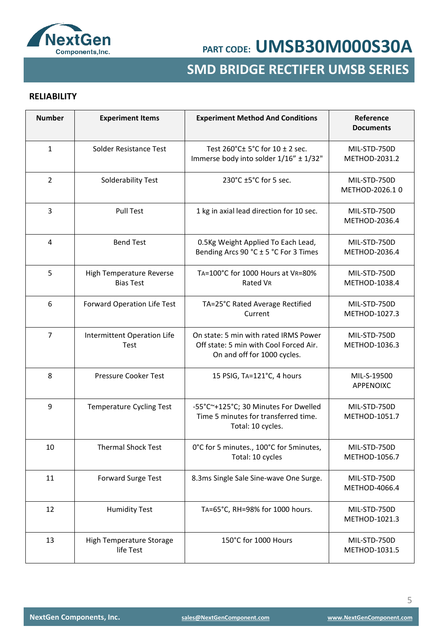

## **SMD BRIDGE RECTIFER UMSB SERIES**

#### **RELIABILITY**

| <b>Number</b>  | <b>Experiment Items</b>                      | <b>Experiment Method And Conditions</b>                                                                        | Reference<br><b>Documents</b>  |
|----------------|----------------------------------------------|----------------------------------------------------------------------------------------------------------------|--------------------------------|
| $\mathbf{1}$   | Solder Resistance Test                       | Test $260^{\circ}$ C $\pm$ 5°C for 10 $\pm$ 2 sec.<br>Immerse body into solder 1/16" ± 1/32"                   | MIL-STD-750D<br>METHOD-2031.2  |
| $\overline{2}$ | Solderability Test                           | 230°C ±5°C for 5 sec.                                                                                          | MIL-STD-750D<br>METHOD-2026.10 |
| $\overline{3}$ | <b>Pull Test</b>                             | 1 kg in axial lead direction for 10 sec.                                                                       | MIL-STD-750D<br>METHOD-2036.4  |
| 4              | <b>Bend Test</b>                             | 0.5Kg Weight Applied To Each Lead,<br>Bending Arcs 90 °C ± 5 °C For 3 Times                                    | MIL-STD-750D<br>METHOD-2036.4  |
| 5              | High Temperature Reverse<br><b>Bias Test</b> | TA=100°C for 1000 Hours at VR=80%<br>Rated VR                                                                  | MIL-STD-750D<br>METHOD-1038.4  |
| 6              | Forward Operation Life Test                  | TA=25°C Rated Average Rectified<br>Current                                                                     | MIL-STD-750D<br>METHOD-1027.3  |
| $\overline{7}$ | Intermittent Operation Life<br>Test          | On state: 5 min with rated IRMS Power<br>Off state: 5 min with Cool Forced Air.<br>On and off for 1000 cycles. | MIL-STD-750D<br>METHOD-1036.3  |
| 8              | <b>Pressure Cooker Test</b>                  | 15 PSIG, TA=121°C, 4 hours                                                                                     | MIL-S-19500<br>APPENOIXC       |
| 9              | <b>Temperature Cycling Test</b>              | -55°C~+125°C; 30 Minutes For Dwelled<br>Time 5 minutes for transferred time.<br>Total: 10 cycles.              | MIL-STD-750D<br>METHOD-1051.7  |
| 10             | <b>Thermal Shock Test</b>                    | 0°C for 5 minutes., 100°C for 5 minutes,<br>Total: 10 cycles                                                   | MIL-STD-750D<br>METHOD-1056.7  |
| 11             | <b>Forward Surge Test</b>                    | 8.3ms Single Sale Sine-wave One Surge.                                                                         | MIL-STD-750D<br>METHOD-4066.4  |
| 12             | <b>Humidity Test</b>                         | TA=65°C, RH=98% for 1000 hours.                                                                                | MIL-STD-750D<br>METHOD-1021.3  |
| 13             | High Temperature Storage<br>life Test        | 150°C for 1000 Hours                                                                                           | MIL-STD-750D<br>METHOD-1031.5  |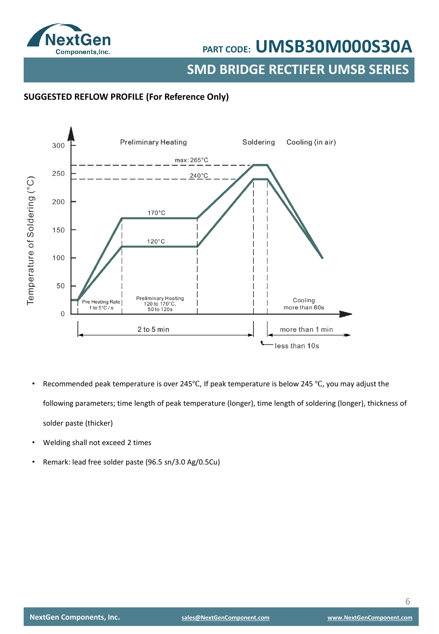

**SMD BRIDGE RECTIFER UMSB SERIES**

#### **SUGGESTED REFLOW PROFILE (For Reference Only)**



- Recommended peak temperature is over 245°C, If peak temperature is below 245 °C, you may adjust the following parameters; time length of peak temperature (longer), time length of soldering (longer), thickness of solder paste (thicker)
- Welding shall not exceed 2 times
- Remark: lead free solder paste (96.5 sn/3.0 Ag/0.5Cu)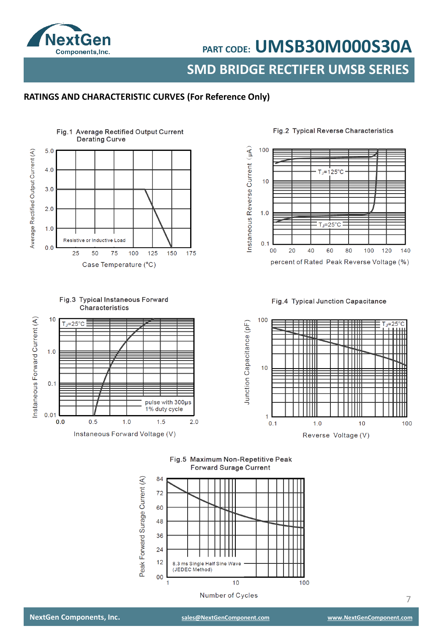

**SMD BRIDGE RECTIFER UMSB SERIES**

#### **RATINGS AND CHARACTERISTIC CURVES (For Reference Only)**



#### Fig.2 Typical Reverse Characteristics



#### Fig.3 Typical Instaneous Forward Characteristics



#### Fig.4 Typical Junction Capacitance



Fig.5 Maximum Non-Repetitive Peak **Forward Surage Current** 



7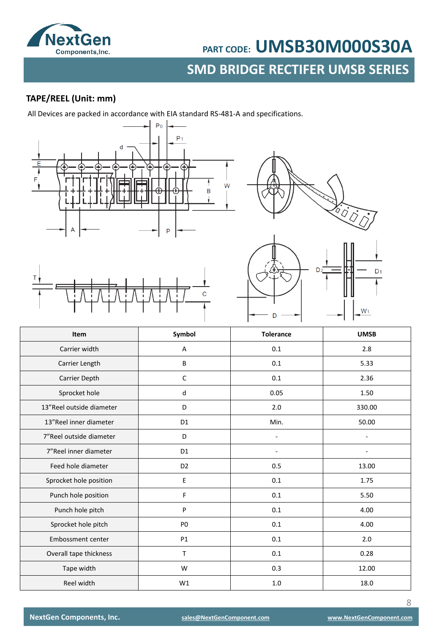

# **SMBD BART CODE:** UMSB30M000S30A<br>SMD BRIDGE RECTIFER UMSB SERIES

#### **TAPE/REEL (Unit: mm)**

All Devices are packed in accordance with EIA standard RS-481-A and specifications.









| Item                     | Symbol         | <b>Tolerance</b> | <b>UMSB</b> |
|--------------------------|----------------|------------------|-------------|
| Carrier width            | A              | 0.1              | 2.8         |
| Carrier Length           | В              | 0.1              | 5.33        |
| Carrier Depth            | $\mathsf{C}$   | 0.1              | 2.36        |
| Sprocket hole            | d              | 0.05             | 1.50        |
| 13"Reel outside diameter | D              | 2.0              | 330.00      |
| 13"Reel inner diameter   | D <sub>1</sub> | Min.             | 50.00       |
| 7"Reel outside diameter  | D              |                  |             |
| 7"Reel inner diameter    | D <sub>1</sub> |                  |             |
| Feed hole diameter       | D <sub>2</sub> | 0.5              | 13.00       |
| Sprocket hole position   | E              | $0.1\,$          | 1.75        |
| Punch hole position      | F              | 0.1              | 5.50        |
| Punch hole pitch         | P              | 0.1              | 4.00        |
| Sprocket hole pitch      | P <sub>0</sub> | 0.1              | 4.00        |
| Embossment center        | P1             | 0.1              | 2.0         |
| Overall tape thickness   | T              | 0.1              | 0.28        |
| Tape width               | W              | 0.3              | 12.00       |
| Reel width               | W1             | 1.0              | 18.0        |

8